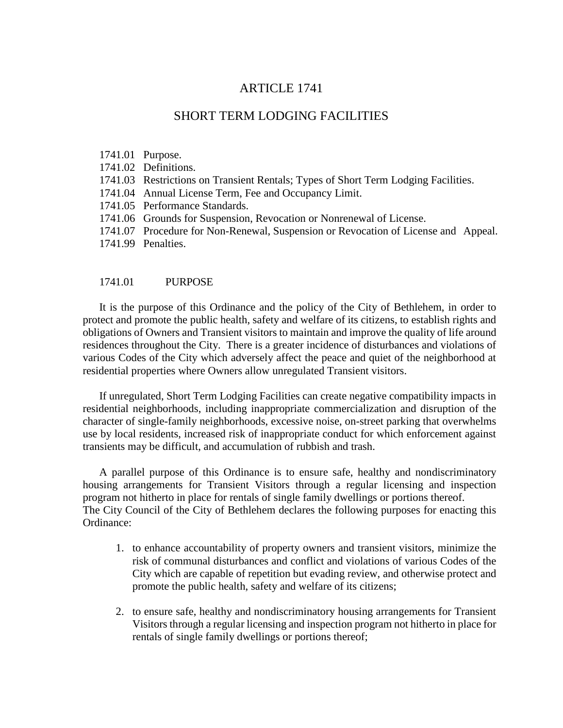# ARTICLE 1741

# SHORT TERM LODGING FACILITIES

- 1741.01 Purpose.
- 1741.02 Definitions.
- 1741.03 Restrictions on Transient Rentals; Types of Short Term Lodging Facilities.
- 1741.04 Annual License Term, Fee and Occupancy Limit.
- 1741.05 Performance Standards.
- 1741.06 Grounds for Suspension, Revocation or Nonrenewal of License.
- 1741.07 Procedure for Non-Renewal, Suspension or Revocation of License and Appeal.
- 1741.99 Penalties.

#### 1741.01 PURPOSE

It is the purpose of this Ordinance and the policy of the City of Bethlehem, in order to protect and promote the public health, safety and welfare of its citizens, to establish rights and obligations of Owners and Transient visitors to maintain and improve the quality of life around residences throughout the City. There is a greater incidence of disturbances and violations of various Codes of the City which adversely affect the peace and quiet of the neighborhood at residential properties where Owners allow unregulated Transient visitors.

If unregulated, Short Term Lodging Facilities can create negative compatibility impacts in residential neighborhoods, including inappropriate commercialization and disruption of the character of single-family neighborhoods, excessive noise, on-street parking that overwhelms use by local residents, increased risk of inappropriate conduct for which enforcement against transients may be difficult, and accumulation of rubbish and trash.

A parallel purpose of this Ordinance is to ensure safe, healthy and nondiscriminatory housing arrangements for Transient Visitors through a regular licensing and inspection program not hitherto in place for rentals of single family dwellings or portions thereof. The City Council of the City of Bethlehem declares the following purposes for enacting this Ordinance:

- 1. to enhance accountability of property owners and transient visitors, minimize the risk of communal disturbances and conflict and violations of various Codes of the City which are capable of repetition but evading review, and otherwise protect and promote the public health, safety and welfare of its citizens;
- 2. to ensure safe, healthy and nondiscriminatory housing arrangements for Transient Visitors through a regular licensing and inspection program not hitherto in place for rentals of single family dwellings or portions thereof;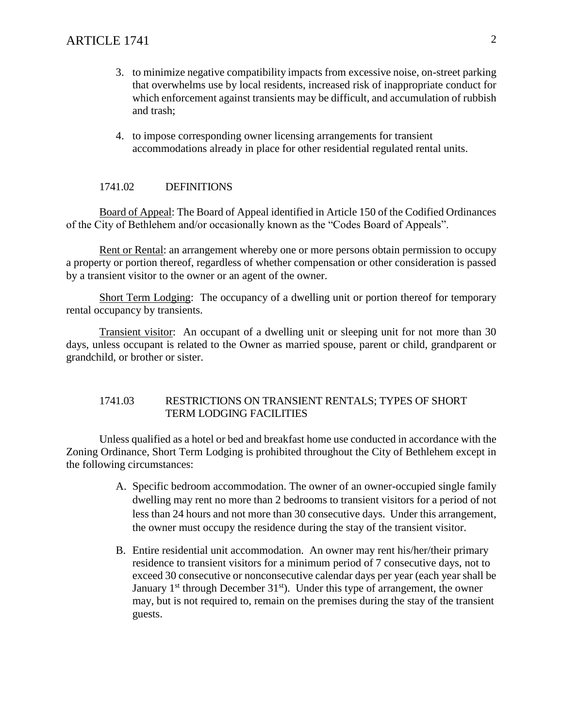- 3. to minimize negative compatibility impacts from excessive noise, on-street parking that overwhelms use by local residents, increased risk of inappropriate conduct for which enforcement against transients may be difficult, and accumulation of rubbish and trash;
- 4. to impose corresponding owner licensing arrangements for transient accommodations already in place for other residential regulated rental units.

# 1741.02 DEFINITIONS

Board of Appeal: The Board of Appeal identified in Article 150 of the Codified Ordinances of the City of Bethlehem and/or occasionally known as the "Codes Board of Appeals".

Rent or Rental: an arrangement whereby one or more persons obtain permission to occupy a property or portion thereof, regardless of whether compensation or other consideration is passed by a transient visitor to the owner or an agent of the owner.

Short Term Lodging: The occupancy of a dwelling unit or portion thereof for temporary rental occupancy by transients.

Transient visitor: An occupant of a dwelling unit or sleeping unit for not more than 30 days, unless occupant is related to the Owner as married spouse, parent or child, grandparent or grandchild, or brother or sister.

### 1741.03 RESTRICTIONS ON TRANSIENT RENTALS; TYPES OF SHORT TERM LODGING FACILITIES

Unless qualified as a hotel or bed and breakfast home use conducted in accordance with the Zoning Ordinance, Short Term Lodging is prohibited throughout the City of Bethlehem except in the following circumstances:

- A. Specific bedroom accommodation. The owner of an owner-occupied single family dwelling may rent no more than 2 bedrooms to transient visitors for a period of not less than 24 hours and not more than 30 consecutive days. Under this arrangement, the owner must occupy the residence during the stay of the transient visitor.
- B. Entire residential unit accommodation. An owner may rent his/her/their primary residence to transient visitors for a minimum period of 7 consecutive days, not to exceed 30 consecutive or nonconsecutive calendar days per year (each year shall be January  $1<sup>st</sup>$  through December  $31<sup>st</sup>$ ). Under this type of arrangement, the owner may, but is not required to, remain on the premises during the stay of the transient guests.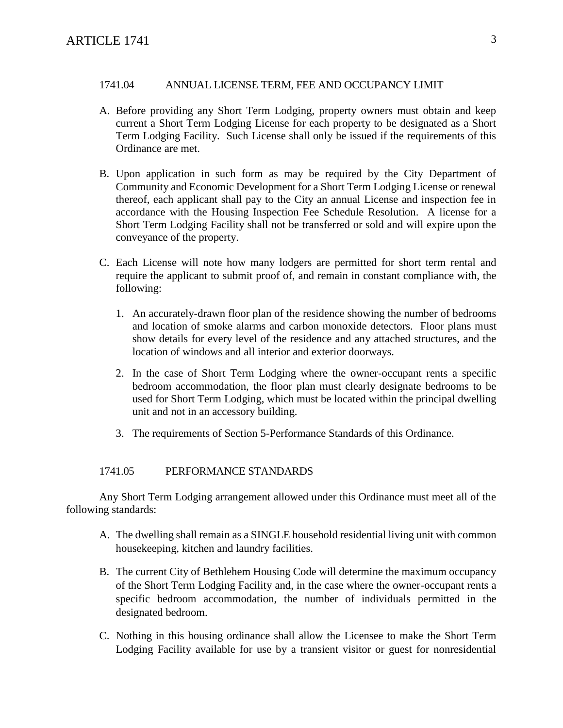# 1741.04 ANNUAL LICENSE TERM, FEE AND OCCUPANCY LIMIT

- A. Before providing any Short Term Lodging, property owners must obtain and keep current a Short Term Lodging License for each property to be designated as a Short Term Lodging Facility. Such License shall only be issued if the requirements of this Ordinance are met.
- B. Upon application in such form as may be required by the City Department of Community and Economic Development for a Short Term Lodging License or renewal thereof, each applicant shall pay to the City an annual License and inspection fee in accordance with the Housing Inspection Fee Schedule Resolution. A license for a Short Term Lodging Facility shall not be transferred or sold and will expire upon the conveyance of the property.
- C. Each License will note how many lodgers are permitted for short term rental and require the applicant to submit proof of, and remain in constant compliance with, the following:
	- 1. An accurately-drawn floor plan of the residence showing the number of bedrooms and location of smoke alarms and carbon monoxide detectors. Floor plans must show details for every level of the residence and any attached structures, and the location of windows and all interior and exterior doorways.
	- 2. In the case of Short Term Lodging where the owner-occupant rents a specific bedroom accommodation, the floor plan must clearly designate bedrooms to be used for Short Term Lodging, which must be located within the principal dwelling unit and not in an accessory building.
	- 3. The requirements of Section 5-Performance Standards of this Ordinance.

# 1741.05 PERFORMANCE STANDARDS

Any Short Term Lodging arrangement allowed under this Ordinance must meet all of the following standards:

- A. The dwelling shall remain as a SINGLE household residential living unit with common housekeeping, kitchen and laundry facilities.
- B. The current City of Bethlehem Housing Code will determine the maximum occupancy of the Short Term Lodging Facility and, in the case where the owner-occupant rents a specific bedroom accommodation, the number of individuals permitted in the designated bedroom.
- C. Nothing in this housing ordinance shall allow the Licensee to make the Short Term Lodging Facility available for use by a transient visitor or guest for nonresidential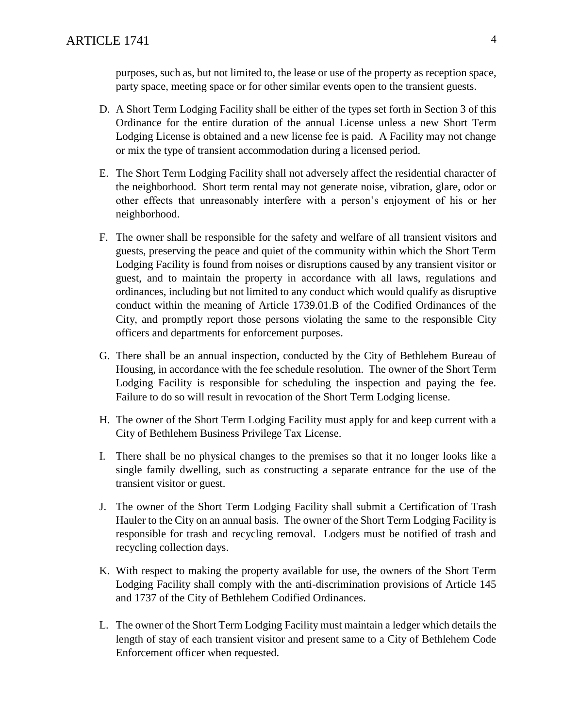purposes, such as, but not limited to, the lease or use of the property as reception space, party space, meeting space or for other similar events open to the transient guests.

- D. A Short Term Lodging Facility shall be either of the types set forth in Section 3 of this Ordinance for the entire duration of the annual License unless a new Short Term Lodging License is obtained and a new license fee is paid. A Facility may not change or mix the type of transient accommodation during a licensed period.
- E. The Short Term Lodging Facility shall not adversely affect the residential character of the neighborhood. Short term rental may not generate noise, vibration, glare, odor or other effects that unreasonably interfere with a person's enjoyment of his or her neighborhood.
- F. The owner shall be responsible for the safety and welfare of all transient visitors and guests, preserving the peace and quiet of the community within which the Short Term Lodging Facility is found from noises or disruptions caused by any transient visitor or guest, and to maintain the property in accordance with all laws, regulations and ordinances, including but not limited to any conduct which would qualify as disruptive conduct within the meaning of Article 1739.01.B of the Codified Ordinances of the City, and promptly report those persons violating the same to the responsible City officers and departments for enforcement purposes.
- G. There shall be an annual inspection, conducted by the City of Bethlehem Bureau of Housing, in accordance with the fee schedule resolution. The owner of the Short Term Lodging Facility is responsible for scheduling the inspection and paying the fee. Failure to do so will result in revocation of the Short Term Lodging license.
- H. The owner of the Short Term Lodging Facility must apply for and keep current with a City of Bethlehem Business Privilege Tax License.
- I. There shall be no physical changes to the premises so that it no longer looks like a single family dwelling, such as constructing a separate entrance for the use of the transient visitor or guest.
- J. The owner of the Short Term Lodging Facility shall submit a Certification of Trash Hauler to the City on an annual basis. The owner of the Short Term Lodging Facility is responsible for trash and recycling removal. Lodgers must be notified of trash and recycling collection days.
- K. With respect to making the property available for use, the owners of the Short Term Lodging Facility shall comply with the anti-discrimination provisions of Article 145 and 1737 of the City of Bethlehem Codified Ordinances.
- L. The owner of the Short Term Lodging Facility must maintain a ledger which details the length of stay of each transient visitor and present same to a City of Bethlehem Code Enforcement officer when requested.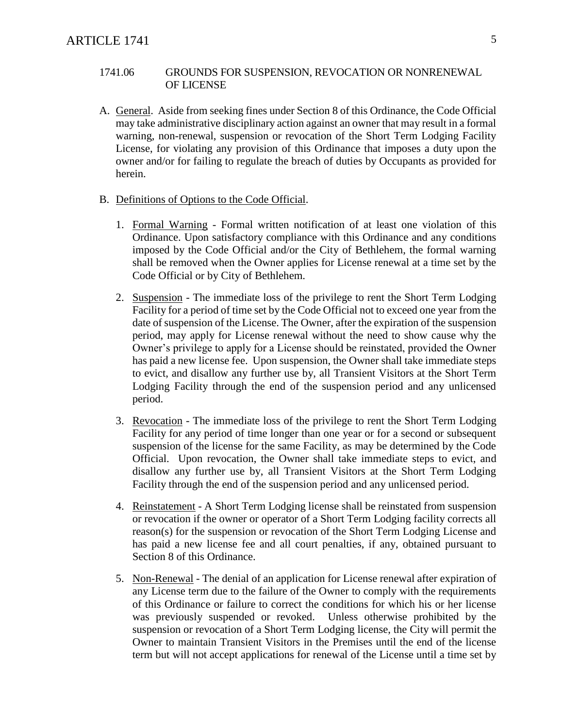# 1741.06 GROUNDS FOR SUSPENSION, REVOCATION OR NONRENEWAL OF LICENSE

- A. General. Aside from seeking fines under Section 8 of this Ordinance, the Code Official may take administrative disciplinary action against an owner that may result in a formal warning, non-renewal, suspension or revocation of the Short Term Lodging Facility License, for violating any provision of this Ordinance that imposes a duty upon the owner and/or for failing to regulate the breach of duties by Occupants as provided for herein.
- B. Definitions of Options to the Code Official.
	- 1. Formal Warning Formal written notification of at least one violation of this Ordinance. Upon satisfactory compliance with this Ordinance and any conditions imposed by the Code Official and/or the City of Bethlehem, the formal warning shall be removed when the Owner applies for License renewal at a time set by the Code Official or by City of Bethlehem.
	- 2. Suspension The immediate loss of the privilege to rent the Short Term Lodging Facility for a period of time set by the Code Official not to exceed one year from the date of suspension of the License. The Owner, after the expiration of the suspension period, may apply for License renewal without the need to show cause why the Owner's privilege to apply for a License should be reinstated, provided the Owner has paid a new license fee. Upon suspension, the Owner shall take immediate steps to evict, and disallow any further use by, all Transient Visitors at the Short Term Lodging Facility through the end of the suspension period and any unlicensed period.
	- 3. Revocation The immediate loss of the privilege to rent the Short Term Lodging Facility for any period of time longer than one year or for a second or subsequent suspension of the license for the same Facility, as may be determined by the Code Official. Upon revocation, the Owner shall take immediate steps to evict, and disallow any further use by, all Transient Visitors at the Short Term Lodging Facility through the end of the suspension period and any unlicensed period.
	- 4. Reinstatement A Short Term Lodging license shall be reinstated from suspension or revocation if the owner or operator of a Short Term Lodging facility corrects all reason(s) for the suspension or revocation of the Short Term Lodging License and has paid a new license fee and all court penalties, if any, obtained pursuant to Section 8 of this Ordinance.
	- 5. Non-Renewal The denial of an application for License renewal after expiration of any License term due to the failure of the Owner to comply with the requirements of this Ordinance or failure to correct the conditions for which his or her license was previously suspended or revoked. Unless otherwise prohibited by the suspension or revocation of a Short Term Lodging license, the City will permit the Owner to maintain Transient Visitors in the Premises until the end of the license term but will not accept applications for renewal of the License until a time set by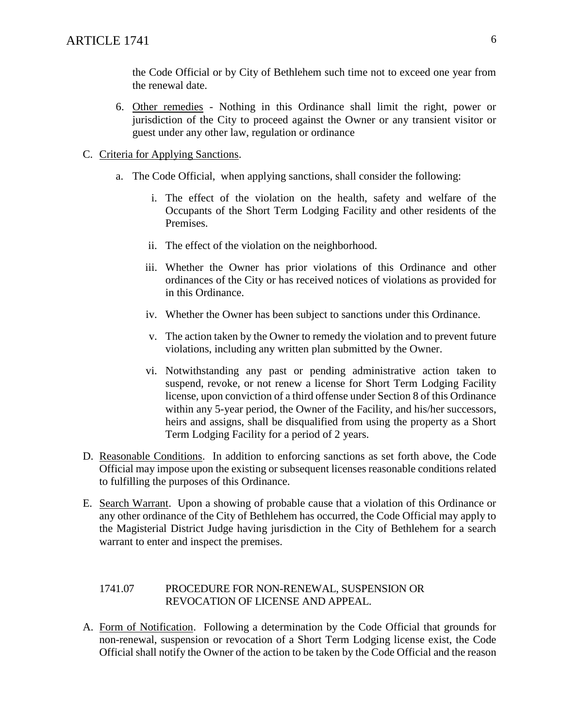the Code Official or by City of Bethlehem such time not to exceed one year from the renewal date.

- 6. Other remedies Nothing in this Ordinance shall limit the right, power or jurisdiction of the City to proceed against the Owner or any transient visitor or guest under any other law, regulation or ordinance
- C. Criteria for Applying Sanctions.
	- a. The Code Official, when applying sanctions, shall consider the following:
		- i. The effect of the violation on the health, safety and welfare of the Occupants of the Short Term Lodging Facility and other residents of the Premises.
		- ii. The effect of the violation on the neighborhood.
		- iii. Whether the Owner has prior violations of this Ordinance and other ordinances of the City or has received notices of violations as provided for in this Ordinance.
		- iv. Whether the Owner has been subject to sanctions under this Ordinance.
		- v. The action taken by the Owner to remedy the violation and to prevent future violations, including any written plan submitted by the Owner.
		- vi. Notwithstanding any past or pending administrative action taken to suspend, revoke, or not renew a license for Short Term Lodging Facility license, upon conviction of a third offense under Section 8 of this Ordinance within any 5-year period, the Owner of the Facility, and his/her successors, heirs and assigns, shall be disqualified from using the property as a Short Term Lodging Facility for a period of 2 years.
- D. Reasonable Conditions. In addition to enforcing sanctions as set forth above, the Code Official may impose upon the existing or subsequent licenses reasonable conditions related to fulfilling the purposes of this Ordinance.
- E. Search Warrant. Upon a showing of probable cause that a violation of this Ordinance or any other ordinance of the City of Bethlehem has occurred, the Code Official may apply to the Magisterial District Judge having jurisdiction in the City of Bethlehem for a search warrant to enter and inspect the premises.

# 1741.07 PROCEDURE FOR NON-RENEWAL, SUSPENSION OR REVOCATION OF LICENSE AND APPEAL.

A. Form of Notification. Following a determination by the Code Official that grounds for non-renewal, suspension or revocation of a Short Term Lodging license exist, the Code Official shall notify the Owner of the action to be taken by the Code Official and the reason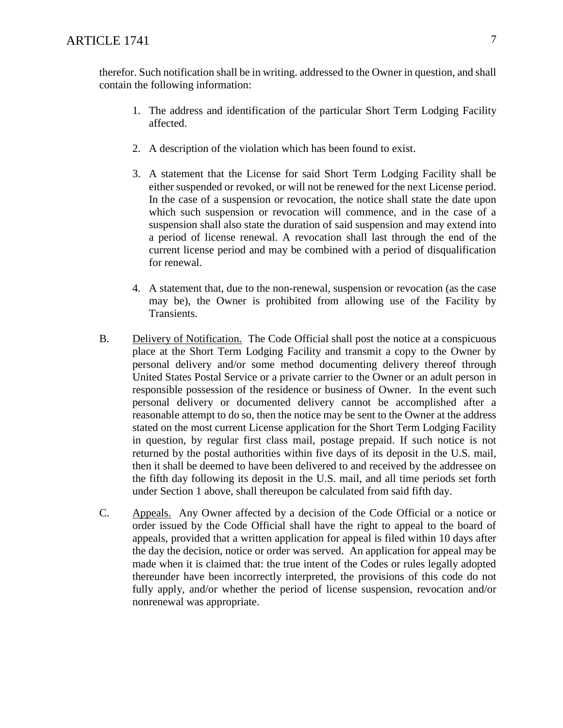therefor. Such notification shall be in writing. addressed to the Owner in question, and shall contain the following information:

- 1. The address and identification of the particular Short Term Lodging Facility affected.
- 2. A description of the violation which has been found to exist.
- 3. A statement that the License for said Short Term Lodging Facility shall be either suspended or revoked, or will not be renewed for the next License period. In the case of a suspension or revocation, the notice shall state the date upon which such suspension or revocation will commence, and in the case of a suspension shall also state the duration of said suspension and may extend into a period of license renewal. A revocation shall last through the end of the current license period and may be combined with a period of disqualification for renewal.
- 4. A statement that, due to the non-renewal, suspension or revocation (as the case may be), the Owner is prohibited from allowing use of the Facility by Transients.
- B. Delivery of Notification. The Code Official shall post the notice at a conspicuous place at the Short Term Lodging Facility and transmit a copy to the Owner by personal delivery and/or some method documenting delivery thereof through United States Postal Service or a private carrier to the Owner or an adult person in responsible possession of the residence or business of Owner. In the event such personal delivery or documented delivery cannot be accomplished after a reasonable attempt to do so, then the notice may be sent to the Owner at the address stated on the most current License application for the Short Term Lodging Facility in question, by regular first class mail, postage prepaid. If such notice is not returned by the postal authorities within five days of its deposit in the U.S. mail, then it shall be deemed to have been delivered to and received by the addressee on the fifth day following its deposit in the U.S. mail, and all time periods set forth under Section 1 above, shall thereupon be calculated from said fifth day.
- C. Appeals. Any Owner affected by a decision of the Code Official or a notice or order issued by the Code Official shall have the right to appeal to the board of appeals, provided that a written application for appeal is filed within 10 days after the day the decision, notice or order was served. An application for appeal may be made when it is claimed that: the true intent of the Codes or rules legally adopted thereunder have been incorrectly interpreted, the provisions of this code do not fully apply, and/or whether the period of license suspension, revocation and/or nonrenewal was appropriate.